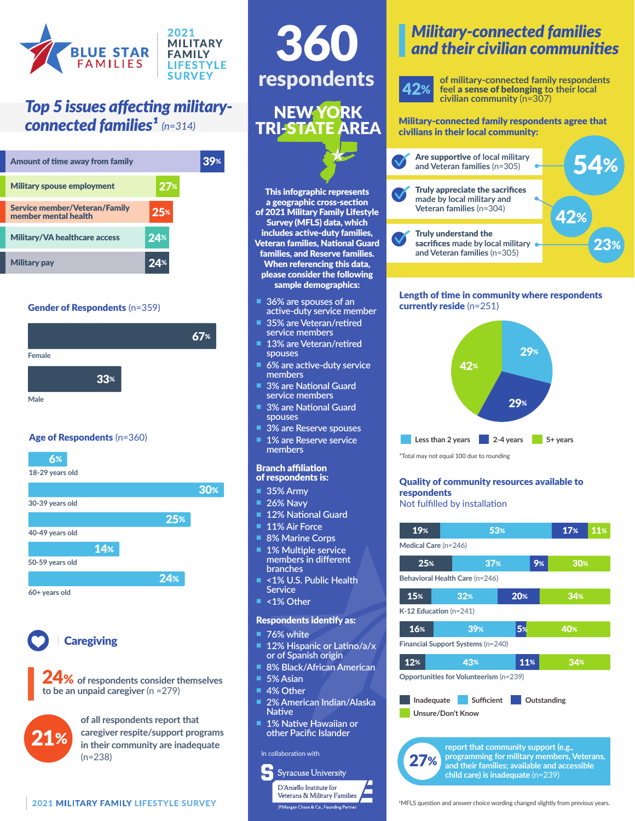

## *Top 5 issues affecting military-*

| Amount of time away from family                       |                 |  |
|-------------------------------------------------------|-----------------|--|
| <b>Military spouse employment</b>                     | 27 <sub>%</sub> |  |
| Service member/Veteran/Family<br>member mental health | 25%             |  |
| <b>Military/VA healthcare access</b>                  | 24%             |  |
| lilitary pay                                          | 24%             |  |

## Gender of Respondents (n=359)



## Age of Respondents (n=360)





## **Caregiving**

24% **of respondents consider themselves to be an unpaid caregiver** (n =279)



**of all respondents report that caregiver respite/support programs in their community are inadequate**  (n=238)

# respondents 360

## NEW YORK TRI-STATE AREA

This infographic represents a geographic cross-section of 2021 Military Family Lifestyle Survey (MFLS) data, which includes active-duty families, Veteran families, National Guard families, and Reserve families. When referencing this data, please consider the following sample demographics:

- n **36% are spouses of an active-duty service member**
- n **35% are Veteran/retired service members**
- 13% are Veteran/retired **spouses**
- n **6% are active-duty service members**
- **3% are National Guard service members**
- **3% are National Guard spouses**
- n **3% are Reserve spouses 1% are Reserve service members**

#### Branch affiliation of respondents is:

- **35% Army**
- **26% Navy**
- **12% National Guard**
- **11% Air Force**
- **8% Marine Corps**
- **1% Multiple service members in different branches**
- n **<1% U.S. Public Health Service**
- n **<1% Other**

#### Respondents identify as:

- **76% white**
- 12% Hispanic or Latino/a/x **or of Spanish origin**
- **8% Black/African American**
- **5% Asian**
- **4% Other**
- 2% American Indian/Alaska **Native**
- **1% Native Hawaiian or other Pacific Islander**

#### In collaboration with



## *Military-connected families and their civilian communities*



**of military-connected family respondents feel** a sense of belonging **to their local civilian community** (n=307)

### **connected families<sup>1</sup>** (n=314) TRLSTATE AREA Military-connected family respondents agree that civilians in their local community:



### Length of time in community where respondents currently reside (n=251)



\*Total may not equal 100 due to rounding

## Quality of community resources available to respondents

## Not fulfilled by installation

| 19%<br>53%                                                                                  |                 |     | 17% | 11% |  |  |
|---------------------------------------------------------------------------------------------|-----------------|-----|-----|-----|--|--|
| Medical Care (n=246)                                                                        |                 |     |     |     |  |  |
| 25%                                                                                         | 37 <sub>%</sub> |     | 9%  | 30% |  |  |
| Behavioral Health Care (n=246)                                                              |                 |     |     |     |  |  |
| 15%                                                                                         | 32%             | 20% |     | 34% |  |  |
| $K-12$ Education (n=241)                                                                    |                 |     |     |     |  |  |
| 16%                                                                                         | 39%             | 5%  |     | 40% |  |  |
| Financial Support Systems (n=240)                                                           |                 |     |     |     |  |  |
| 12%                                                                                         | 43%             | 11% |     | 34% |  |  |
| Opportunities for Volunteerism (n=239)                                                      |                 |     |     |     |  |  |
| <b>Sufficient</b><br>Inadequate<br>Outstanding                                              |                 |     |     |     |  |  |
| Unsure/Don't Know                                                                           |                 |     |     |     |  |  |
|                                                                                             |                 |     |     |     |  |  |
| report that community support (e.g.,                                                        |                 |     |     |     |  |  |
| programming for military members, Veterans,<br>and their families; available and accessible |                 |     |     |     |  |  |

<sup>1</sup>MFLS question and answer choice wording changed slightly from previous years.

**child care) is inadequate** (n=239)